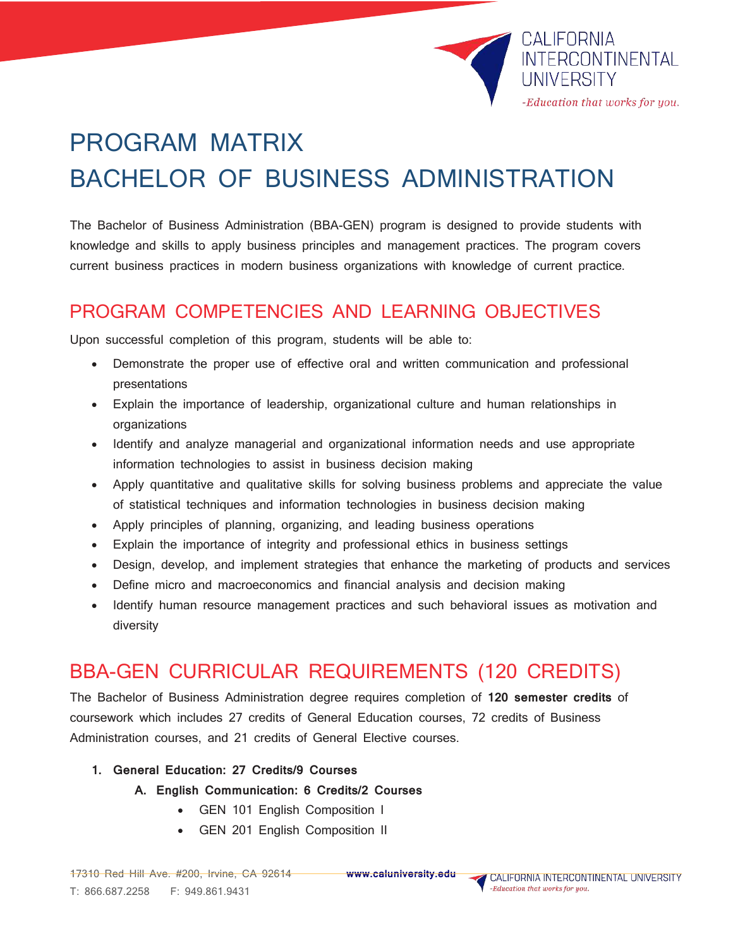

# PROGRAM MATRIX BACHELOR OF BUSINESS ADMINISTRATION

The Bachelor of Business Administration (BBA-GEN) program is designed to provide students with knowledge and skills to apply business principles and management practices. The program covers current business practices in modern business organizations with knowledge of current practice.

### PROGRAM COMPETENCIES AND LEARNING OBJECTIVES

Upon successful completion of this program, students will be able to:

- Demonstrate the proper use of effective oral and written communication and professional presentations
- Explain the importance of leadership, organizational culture and human relationships in organizations
- Identify and analyze managerial and organizational information needs and use appropriate information technologies to assist in business decision making
- Apply quantitative and qualitative skills for solving business problems and appreciate the value of statistical techniques and information technologies in business decision making
- Apply principles of planning, organizing, and leading business operations
- Explain the importance of integrity and professional ethics in business settings
- Design, develop, and implement strategies that enhance the marketing of products and services
- Define micro and macroeconomics and financial analysis and decision making
- Identify human resource management practices and such behavioral issues as motivation and diversity

## BBA-GEN CURRICULAR REQUIREMENTS (120 CREDITS)

The Bachelor of Business Administration degree requires completion of **120 semester credits** of coursework which includes 27 credits of General Education courses, 72 credits of Business Administration courses, and 21 credits of General Elective courses.

**1. General Education: 27 Credits/9 Courses**

**A. English Communication: 6 Credits/2 Courses**

- GEN 101 English Composition I
- GEN 201 English Composition II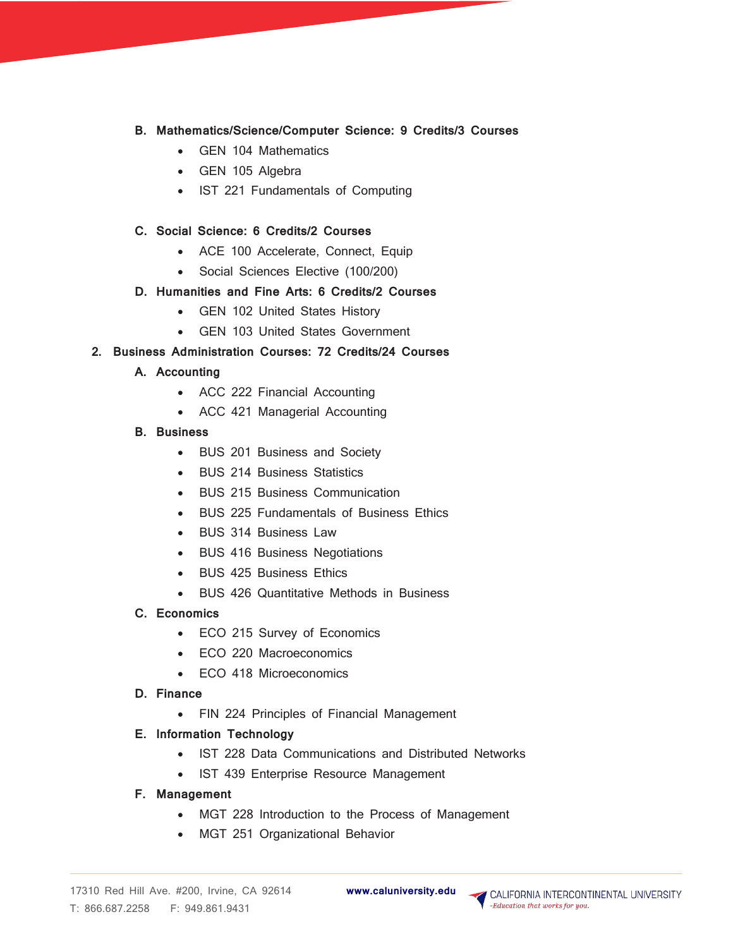- **B. Mathematics/Science/Computer Science: 9 Credits/3 Courses**
	- GEN 104 Mathematics
	- GEN 105 Algebra
	- IST 221 Fundamentals of Computing

#### **C. Social Science: 6 Credits/2 Courses**

- ACE 100 Accelerate, Connect, Equip
- Social Sciences Elective (100/200)

#### **D. Humanities and Fine Arts: 6 Credits/2 Courses**

- GEN 102 United States History
- GEN 103 United States Government

#### **2. Business Administration Courses: 72 Credits/24 Courses**

- **A. Accounting**
	- ACC 222 Financial Accounting
	- ACC 421 Managerial Accounting
- **B. Business**
	- BUS 201 Business and Society
	- BUS 214 Business Statistics
	- BUS 215 Business Communication
	- BUS 225 Fundamentals of Business Ethics
	- BUS 314 Business Law
	- BUS 416 Business Negotiations
	- BUS 425 Business Ethics
	- BUS 426 Quantitative Methods in Business
- **C. Economics**
	- ECO 215 Survey of Economics
	- ECO 220 Macroeconomics
	- ECO 418 Microeconomics
- **D. Finance**
	- FIN 224 Principles of Financial Management
- **E. Information Technology**
	- IST 228 Data Communications and Distributed Networks
	- IST 439 Enterprise Resource Management
- **F. Management** 
	- MGT 228 Introduction to the Process of Management
	- MGT 251 Organizational Behavior

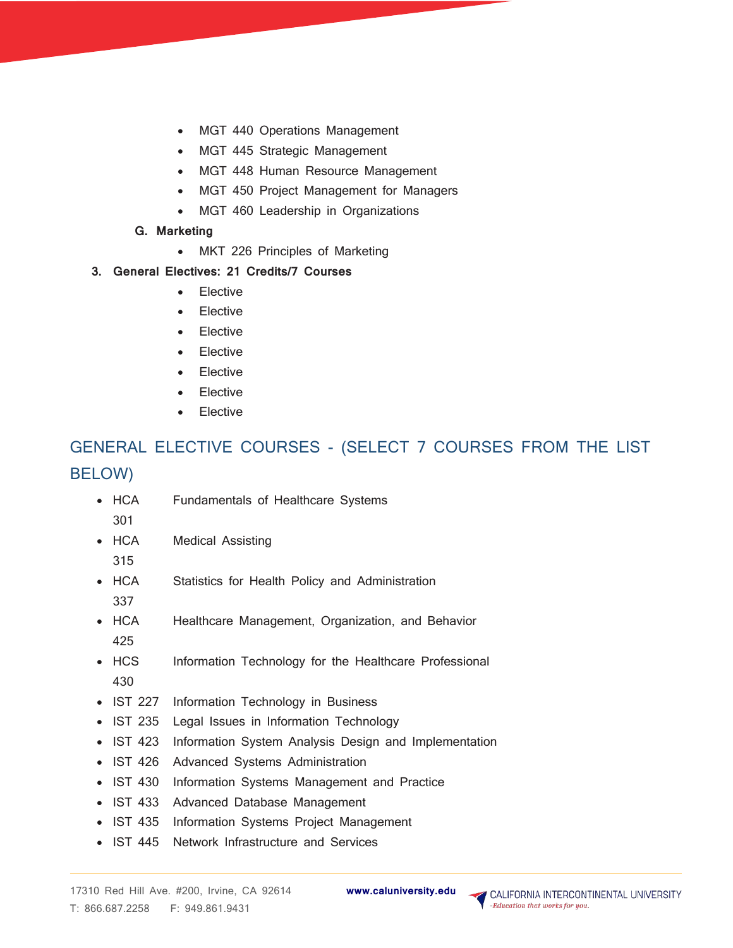- MGT 440 Operations Management
- MGT 445 Strategic Management
- MGT 448 Human Resource Management
- MGT 450 Project Management for Managers
- MGT 460 Leadership in Organizations
- **G. Marketing**
	- MKT 226 Principles of Marketing
- **3. General Electives: 21 Credits/7 Courses**
	- **Elective**
	- **Elective**
	- **Elective**
	- **Elective**
	- **Elective**
	- **Elective**
	- **Elective**

## GENERAL ELECTIVE COURSES - (SELECT 7 COURSES FROM THE LIST BELOW)

- HCA 301 Fundamentals of Healthcare Systems
- HCA Medical Assisting
- 315
- HCA 337 Statistics for Health Policy and Administration
- HCA 425 Healthcare Management, Organization, and Behavior
- HCS 430 Information Technology for the Healthcare Professional
- IST 227 Information Technology in Business
- IST 235 Legal Issues in Information Technology
- IST 423 Information System Analysis Design and Implementation
- IST 426 Advanced Systems Administration
- IST 430 Information Systems Management and Practice
- IST 433 Advanced Database Management
- IST 435 Information Systems Project Management
- IST 445 Network Infrastructure and Services